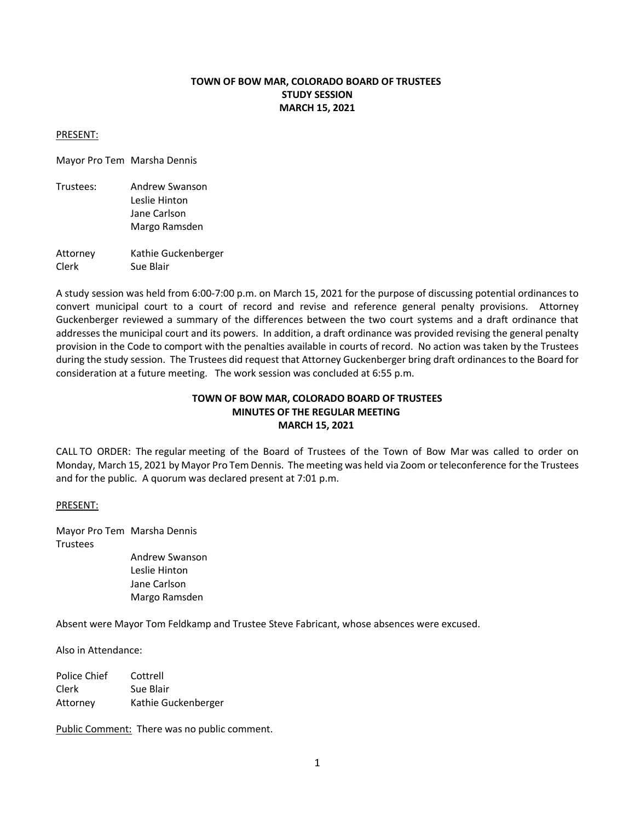# **TOWN OF BOW MAR, COLORADO BOARD OF TRUSTEES STUDY SESSION MARCH 15, 2021**

#### PRESENT:

Mayor Pro Tem Marsha Dennis

- Trustees: Andrew Swanson Leslie Hinton Jane Carlson Margo Ramsden
- Attorney Kathie Guckenberger Clerk Sue Blair

A study session was held from 6:00-7:00 p.m. on March 15, 2021 for the purpose of discussing potential ordinances to convert municipal court to a court of record and revise and reference general penalty provisions. Attorney Guckenberger reviewed a summary of the differences between the two court systems and a draft ordinance that addresses the municipal court and its powers. In addition, a draft ordinance was provided revising the general penalty provision in the Code to comport with the penalties available in courts of record. No action was taken by the Trustees during the study session. The Trustees did request that Attorney Guckenberger bring draft ordinances to the Board for consideration at a future meeting. The work session was concluded at 6:55 p.m.

## **TOWN OF BOW MAR, COLORADO BOARD OF TRUSTEES MINUTES OF THE REGULAR MEETING MARCH 15, 2021**

CALL TO ORDER: The regular meeting of the Board of Trustees of the Town of Bow Mar was called to order on Monday, March 15, 2021 by Mayor Pro Tem Dennis. The meeting was held via Zoom or teleconference for the Trustees and for the public. A quorum was declared present at 7:01 p.m.

## PRESENT:

Mayor Pro Tem Marsha Dennis Trustees

Andrew Swanson Leslie Hinton Jane Carlson Margo Ramsden

Absent were Mayor Tom Feldkamp and Trustee Steve Fabricant, whose absences were excused.

Also in Attendance:

| Police Chief | Cottrell            |
|--------------|---------------------|
| Clerk        | Sue Blair           |
| Attorney     | Kathie Guckenberger |

Public Comment: There was no public comment.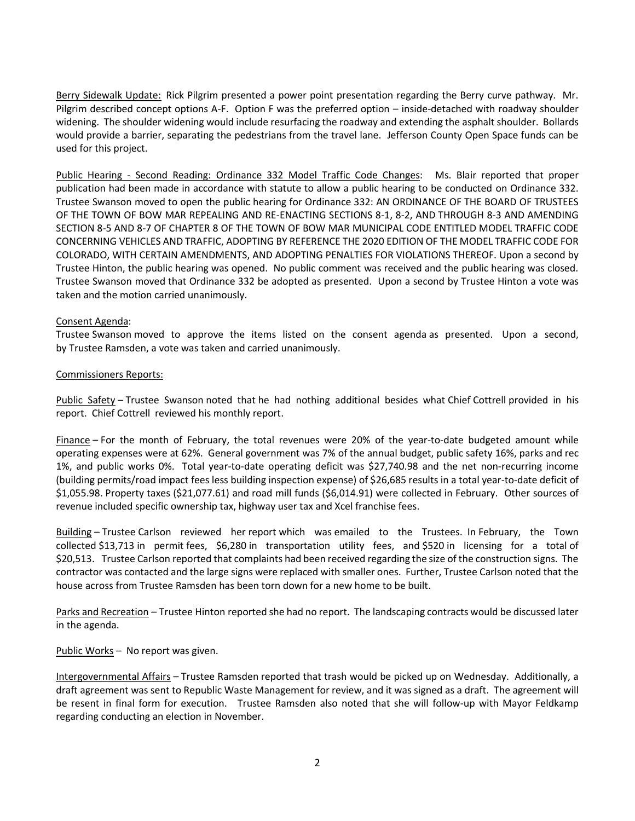Berry Sidewalk Update: Rick Pilgrim presented a power point presentation regarding the Berry curve pathway. Mr. Pilgrim described concept options A-F. Option F was the preferred option – inside-detached with roadway shoulder widening. The shoulder widening would include resurfacing the roadway and extending the asphalt shoulder. Bollards would provide a barrier, separating the pedestrians from the travel lane. Jefferson County Open Space funds can be used for this project.

Public Hearing - Second Reading: Ordinance 332 Model Traffic Code Changes: Ms. Blair reported that proper publication had been made in accordance with statute to allow a public hearing to be conducted on Ordinance 332. Trustee Swanson moved to open the public hearing for Ordinance 332: AN ORDINANCE OF THE BOARD OF TRUSTEES OF THE TOWN OF BOW MAR REPEALING AND RE-ENACTING SECTIONS 8-1, 8-2, AND THROUGH 8-3 AND AMENDING SECTION 8-5 AND 8-7 OF CHAPTER 8 OF THE TOWN OF BOW MAR MUNICIPAL CODE ENTITLED MODEL TRAFFIC CODE CONCERNING VEHICLES AND TRAFFIC, ADOPTING BY REFERENCE THE 2020 EDITION OF THE MODEL TRAFFIC CODE FOR COLORADO, WITH CERTAIN AMENDMENTS, AND ADOPTING PENALTIES FOR VIOLATIONS THEREOF. Upon a second by Trustee Hinton, the public hearing was opened. No public comment was received and the public hearing was closed. Trustee Swanson moved that Ordinance 332 be adopted as presented. Upon a second by Trustee Hinton a vote was taken and the motion carried unanimously.

## Consent Agenda:

Trustee Swanson moved to approve the items listed on the consent agenda as presented. Upon a second, by Trustee Ramsden, a vote was taken and carried unanimously.

## Commissioners Reports:

Public Safety – Trustee Swanson noted that he had nothing additional besides what Chief Cottrell provided in his report. Chief Cottrell reviewed his monthly report.

Finance – For the month of February, the total revenues were 20% of the year-to-date budgeted amount while operating expenses were at 62%. General government was 7% of the annual budget, public safety 16%, parks and rec 1%, and public works 0%. Total year-to-date operating deficit was \$27,740.98 and the net non-recurring income (building permits/road impact fees less building inspection expense) of \$26,685 results in a total year-to-date deficit of \$1,055.98. Property taxes (\$21,077.61) and road mill funds (\$6,014.91) were collected in February. Other sources of revenue included specific ownership tax, highway user tax and Xcel franchise fees.

Building – Trustee Carlson reviewed her report which was emailed to the Trustees. In February, the Town collected \$13,713 in permit fees, \$6,280 in transportation utility fees, and \$520 in licensing for a total of \$20,513. Trustee Carlson reported that complaints had been received regarding the size of the construction signs. The contractor was contacted and the large signs were replaced with smaller ones. Further, Trustee Carlson noted that the house across from Trustee Ramsden has been torn down for a new home to be built.

Parks and Recreation – Trustee Hinton reported she had no report. The landscaping contracts would be discussed later in the agenda.

Public Works - No report was given.

Intergovernmental Affairs – Trustee Ramsden reported that trash would be picked up on Wednesday. Additionally, a draft agreement was sent to Republic Waste Management for review, and it was signed as a draft. The agreement will be resent in final form for execution. Trustee Ramsden also noted that she will follow-up with Mayor Feldkamp regarding conducting an election in November.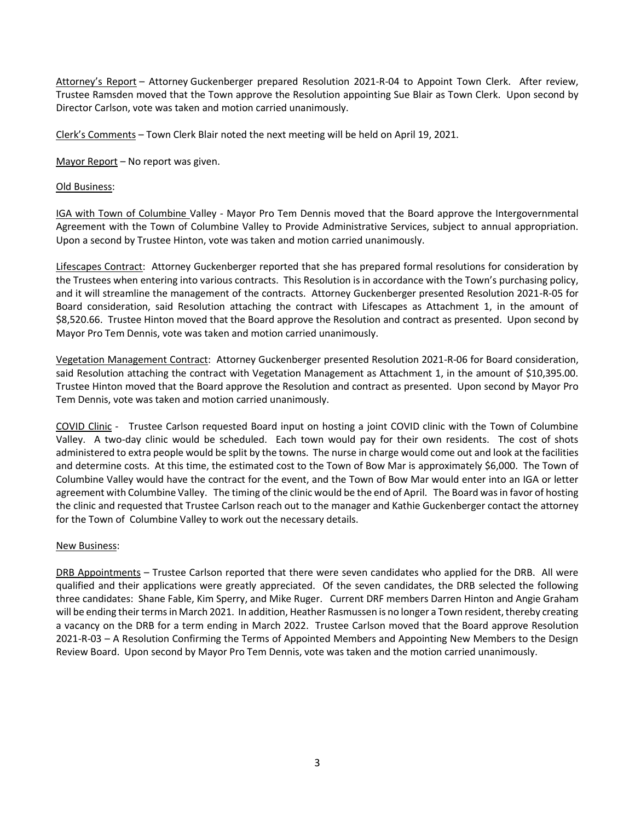Attorney's Report – Attorney Guckenberger prepared Resolution 2021-R-04 to Appoint Town Clerk. After review, Trustee Ramsden moved that the Town approve the Resolution appointing Sue Blair as Town Clerk. Upon second by Director Carlson, vote was taken and motion carried unanimously.

Clerk's Comments – Town Clerk Blair noted the next meeting will be held on April 19, 2021.

Mayor Report – No report was given.

## Old Business:

IGA with Town of Columbine Valley - Mayor Pro Tem Dennis moved that the Board approve the Intergovernmental Agreement with the Town of Columbine Valley to Provide Administrative Services, subject to annual appropriation. Upon a second by Trustee Hinton, vote was taken and motion carried unanimously.

Lifescapes Contract: Attorney Guckenberger reported that she has prepared formal resolutions for consideration by the Trustees when entering into various contracts. This Resolution is in accordance with the Town's purchasing policy, and it will streamline the management of the contracts. Attorney Guckenberger presented Resolution 2021-R-05 for Board consideration, said Resolution attaching the contract with Lifescapes as Attachment 1, in the amount of \$8,520.66. Trustee Hinton moved that the Board approve the Resolution and contract as presented. Upon second by Mayor Pro Tem Dennis, vote was taken and motion carried unanimously.

Vegetation Management Contract: Attorney Guckenberger presented Resolution 2021-R-06 for Board consideration, said Resolution attaching the contract with Vegetation Management as Attachment 1, in the amount of \$10,395.00. Trustee Hinton moved that the Board approve the Resolution and contract as presented. Upon second by Mayor Pro Tem Dennis, vote was taken and motion carried unanimously.

COVID Clinic - Trustee Carlson requested Board input on hosting a joint COVID clinic with the Town of Columbine Valley. A two-day clinic would be scheduled. Each town would pay for their own residents. The cost of shots administered to extra people would be split by the towns. The nurse in charge would come out and look at the facilities and determine costs. At this time, the estimated cost to the Town of Bow Mar is approximately \$6,000. The Town of Columbine Valley would have the contract for the event, and the Town of Bow Mar would enter into an IGA or letter agreement with Columbine Valley. The timing of the clinic would be the end of April. The Board was in favor of hosting the clinic and requested that Trustee Carlson reach out to the manager and Kathie Guckenberger contact the attorney for the Town of Columbine Valley to work out the necessary details.

## New Business:

DRB Appointments – Trustee Carlson reported that there were seven candidates who applied for the DRB. All were qualified and their applications were greatly appreciated. Of the seven candidates, the DRB selected the following three candidates: Shane Fable, Kim Sperry, and Mike Ruger. Current DRF members Darren Hinton and Angie Graham will be ending their terms in March 2021. In addition, Heather Rasmussen is no longer a Town resident, thereby creating a vacancy on the DRB for a term ending in March 2022. Trustee Carlson moved that the Board approve Resolution 2021-R-03 – A Resolution Confirming the Terms of Appointed Members and Appointing New Members to the Design Review Board. Upon second by Mayor Pro Tem Dennis, vote was taken and the motion carried unanimously.